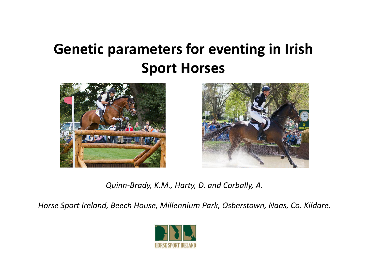### **Genetic parameters for eventing in Irish Sport Horses**





*Quinn‐Brady, K.M., Harty, D. and Corbally, A.*

*Horse Sport Ireland, Beech House, Millennium Park, Osberstown, Naas, Co. Kildare.*

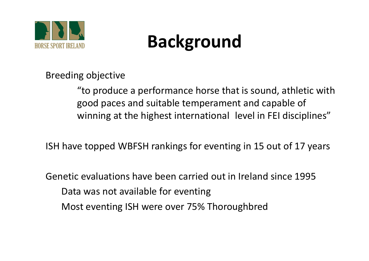

## **Background**

Breeding objective

"to produce <sup>a</sup> performance horse that is sound, athletic with good paces and suitable temperament and capable of winning at the highest international level in FEI disciplines"

ISH have topped WBFSH rankings for eventing in 15 out of 17 years

Genetic evaluations have been carried out in Ireland since 1995 Data was not available for eventing Most eventing ISH were over 75% Thoroughbred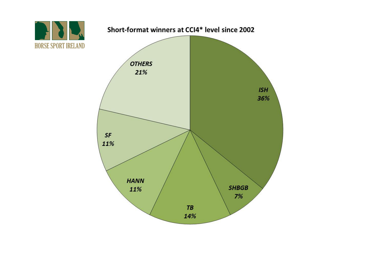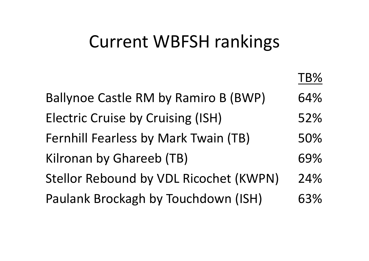### Current WBFSH rankings

TB%Ballynoe Castle RM by Ramiro B (BWP) 64% Electric Cruise by Cruising (ISH) 52% Fernhill Fearless by Mark Twain (TB)  $50\%$ Kilronan by Ghareeb (TB) 69% Stellor Rebound by VDL Ricochet (KWPN) 24% Paulank Brockagh by Touchdown (ISH) 63%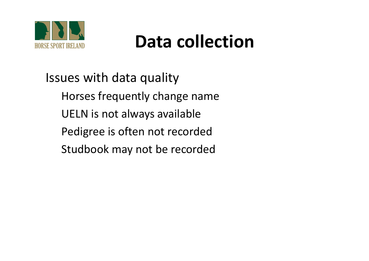

## **Data collection**

Issues with data quality Horses frequently change name UELN is not always available Pedigree is often not recorded Studbook may not be recorded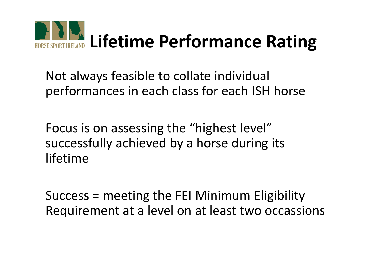

Not always feasible to collate individual performances in each class for each ISH horse

Focus is on assessing the "highest level" successfully achieved by <sup>a</sup> horse during its lifetime

Success <sup>=</sup> meeting the FEI Minimum Eligibility Requirement at <sup>a</sup> level on at least two occassions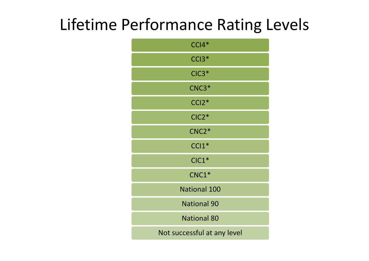### Lifetime Performance Rating Levels

| $CCI4*$                     |
|-----------------------------|
| $CCI3*$                     |
| $CIC3*$                     |
| $CNC3*$                     |
| $CCI2*$                     |
| $CIC2*$                     |
| CNC <sub>2</sub> *          |
| $CC11*$                     |
| $ClC1*$                     |
| $CNC1*$                     |
| National 100                |
| <b>National 90</b>          |
| <b>National 80</b>          |
| Not successful at any level |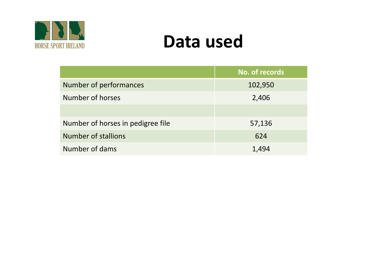

### **Data used**

|                                   | No. of records |
|-----------------------------------|----------------|
| Number of performances            | 102,950        |
| Number of horses                  | 2,406          |
|                                   |                |
| Number of horses in pedigree file | 57,136         |
| <b>Number of stallions</b>        | 624            |
| Number of dams                    | 1,494          |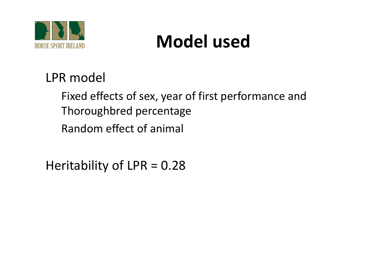

# **Model used**

### LPR model

Fixed effects of sex, year of first performance and Thoroughbred percentage Random effect of animal

Heritability of LPR <sup>=</sup> 0.28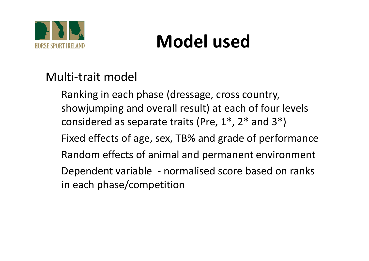

# **Model used**

#### Multi‐trait model

Ranking in each phase (dressage, cross country, showjumping and overall result) at each of four levels considered as separate traits (Pre, 1\*, 2\* and 3\*) Fixed effects of age, sex, TB% and grade of performance Random effects of animal and permanent environment Dependent variable ‐ normalised score based on ranks in each phase/competition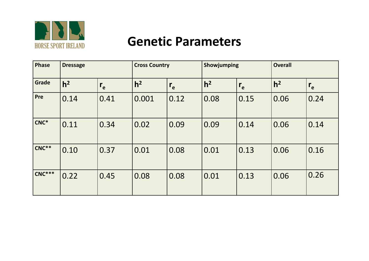

#### **Genetic Parameters**

| <b>Phase</b> | <b>Dressage</b> |         | <b>Cross Country</b> |                   | Showjumping    |                   | <b>Overall</b> |         |
|--------------|-----------------|---------|----------------------|-------------------|----------------|-------------------|----------------|---------|
| Grade        | h <sup>2</sup>  | $r_{e}$ | h <sup>2</sup>       | $r_{e}$           | h <sup>2</sup> | $r_{e}$           | h <sup>2</sup> | $r_{e}$ |
| Pre          | 0.14            | 0.41    | 0.001                | $\overline{0.12}$ | 0.08           | 0.15              | 0.06           | 0.24    |
| $CNC^*$      | 0.11            | 0.34    | 0.02                 | 0.09              | 0.09           | $\overline{0.14}$ | 0.06           | 0.14    |
| $CNC**$      | 0.10            | 0.37    | 0.01                 | 0.08              | 0.01           | 0.13              | 0.06           | 0.16    |
| $CNC***$     | 0.22            | 0.45    | 0.08                 | 0.08              | 0.01           | 0.13              | 0.06           | 0.26    |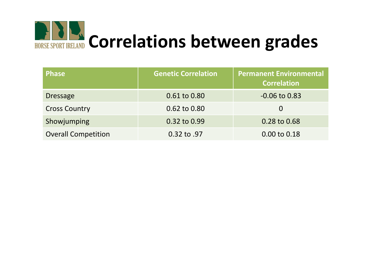

| <b>Phase</b>               | <b>Genetic Correlation</b> | <b>Permanent Environmental</b><br><b>Correlation</b> |
|----------------------------|----------------------------|------------------------------------------------------|
| <b>Dressage</b>            | 0.61 to 0.80               | $-0.06$ to $0.83$                                    |
| <b>Cross Country</b>       | 0.62 to 0.80               | $\overline{0}$                                       |
| Showjumping                | 0.32 to 0.99               | 0.28 to 0.68                                         |
| <b>Overall Competition</b> | 0.32 to .97                | 0.00 to 0.18                                         |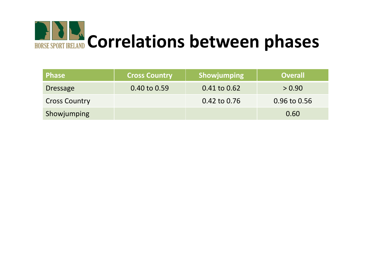

| Phase <b>I</b>       | <b>Cross Country</b> | <b>Showjumping</b> | <b>Overall</b> |
|----------------------|----------------------|--------------------|----------------|
| <b>Dressage</b>      | 0.40 to 0.59         | $0.41$ to $0.62$   | > 0.90         |
| <b>Cross Country</b> |                      | 0.42 to 0.76       | 0.96 to 0.56   |
| Showjumping          |                      |                    | 0.60           |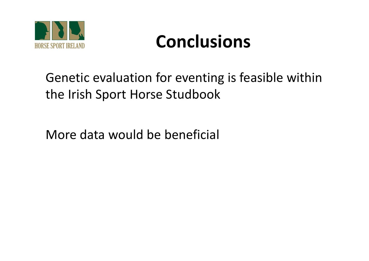

## **Conclusions**

### Genetic evaluation for eventing is feasible within the Irish Sport Horse Studbook

More data would be beneficial